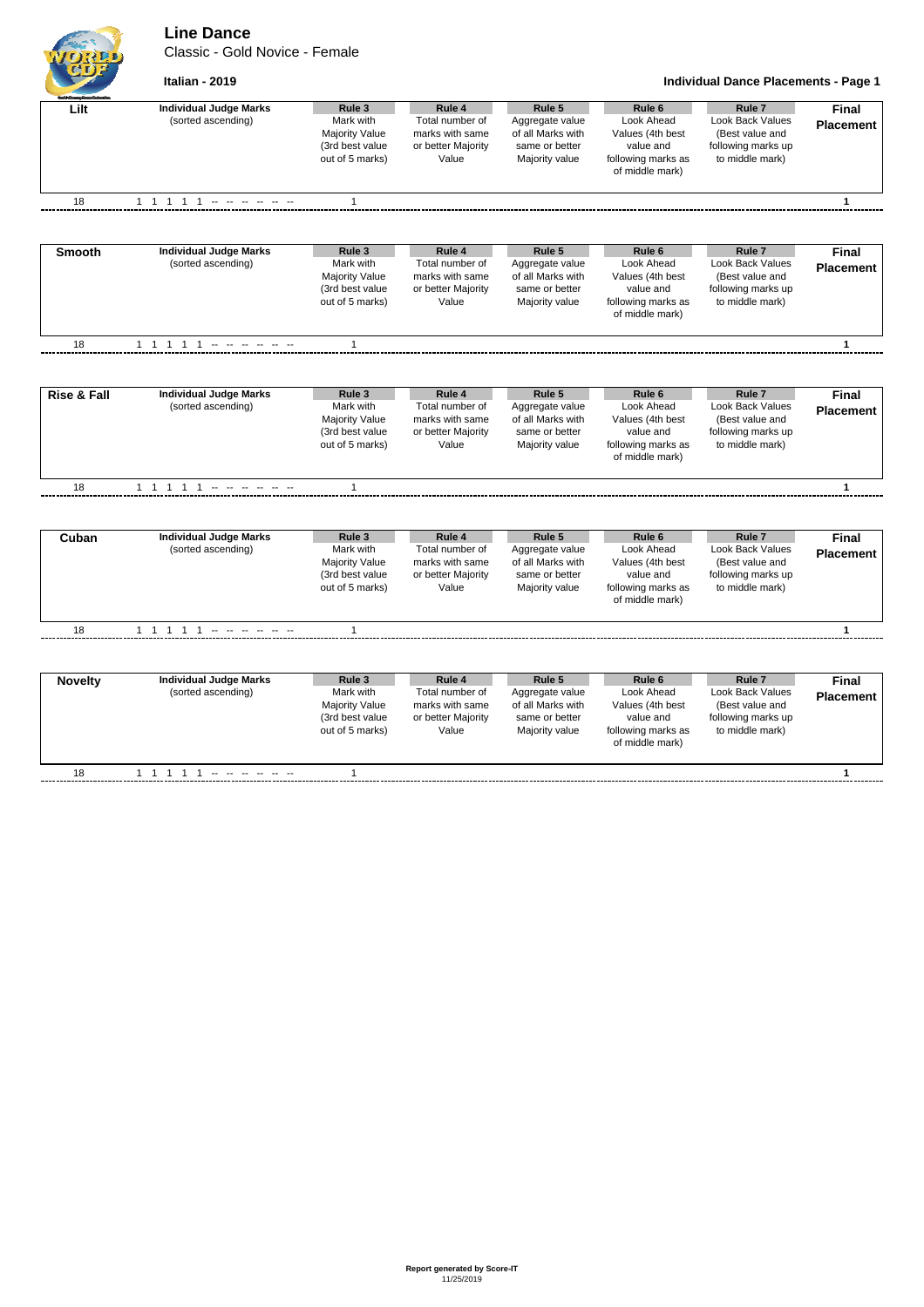**Line Dance**

Classic - Gold Novice - Female



## **Italian - 2019 Individual Dance Placements - Page 1**

| Lilt                   | <b>Individual Judge Marks</b><br>(sorted ascending) | Rule 3<br>Mark with<br><b>Majority Value</b><br>(3rd best value<br>out of 5 marks) | Rule 4<br>Total number of<br>marks with same<br>or better Majority<br>Value | Rule 5<br>Aggregate value<br>of all Marks with<br>same or better<br>Majority value | Rule <sub>6</sub><br>Look Ahead<br>Values (4th best<br>value and<br>following marks as<br>of middle mark) | Rule 7<br>Look Back Values<br>(Best value and<br>following marks up<br>to middle mark) | Final<br><b>Placement</b> |
|------------------------|-----------------------------------------------------|------------------------------------------------------------------------------------|-----------------------------------------------------------------------------|------------------------------------------------------------------------------------|-----------------------------------------------------------------------------------------------------------|----------------------------------------------------------------------------------------|---------------------------|
| 18                     |                                                     | $\mathbf{1}$                                                                       |                                                                             |                                                                                    |                                                                                                           |                                                                                        | $\mathbf{1}$              |
|                        |                                                     |                                                                                    |                                                                             |                                                                                    |                                                                                                           |                                                                                        |                           |
| <b>Smooth</b>          | <b>Individual Judge Marks</b>                       | Rule 3                                                                             | Rule 4                                                                      | Rule 5                                                                             | Rule <sub>6</sub>                                                                                         | Rule <sub>7</sub>                                                                      | <b>Final</b>              |
|                        | (sorted ascending)                                  | Mark with<br><b>Majority Value</b>                                                 | Total number of<br>marks with same                                          | Aggregate value<br>of all Marks with                                               | Look Ahead<br>Values (4th best                                                                            | Look Back Values<br>(Best value and                                                    | <b>Placement</b>          |
|                        |                                                     | (3rd best value                                                                    | or better Majority                                                          | same or better                                                                     | value and                                                                                                 | following marks up                                                                     |                           |
|                        |                                                     | out of 5 marks)                                                                    | Value                                                                       | Majority value                                                                     | following marks as<br>of middle mark)                                                                     | to middle mark)                                                                        |                           |
| 18                     |                                                     | 1                                                                                  |                                                                             |                                                                                    |                                                                                                           |                                                                                        | 1                         |
|                        |                                                     |                                                                                    |                                                                             |                                                                                    |                                                                                                           |                                                                                        |                           |
| <b>Rise &amp; Fall</b> | <b>Individual Judge Marks</b>                       | Rule 3                                                                             | Rule 4                                                                      | Rule 5                                                                             | Rule <sub>6</sub>                                                                                         | Rule <sub>7</sub>                                                                      | <b>Final</b>              |
|                        | (sorted ascending)                                  | Mark with                                                                          | Total number of                                                             | Aggregate value                                                                    | Look Ahead                                                                                                | <b>Look Back Values</b>                                                                | <b>Placement</b>          |
|                        |                                                     | <b>Majority Value</b>                                                              | marks with same                                                             | of all Marks with                                                                  | Values (4th best                                                                                          | (Best value and                                                                        |                           |
|                        |                                                     | (3rd best value<br>out of 5 marks)                                                 | or better Majority<br>Value                                                 | same or better<br>Majority value                                                   | value and<br>following marks as                                                                           | following marks up<br>to middle mark)                                                  |                           |
|                        |                                                     |                                                                                    |                                                                             |                                                                                    | of middle mark)                                                                                           |                                                                                        |                           |
| 18                     |                                                     | $\mathbf{1}$                                                                       |                                                                             |                                                                                    |                                                                                                           |                                                                                        | $\mathbf{1}$              |
|                        |                                                     |                                                                                    |                                                                             |                                                                                    |                                                                                                           |                                                                                        |                           |
| Cuban                  | <b>Individual Judge Marks</b>                       | Rule 3                                                                             | Rule 4                                                                      | Rule 5                                                                             | Rule <sub>6</sub>                                                                                         | Rule <sub>7</sub>                                                                      | <b>Final</b>              |
|                        | (sorted ascending)                                  | Mark with                                                                          | Total number of                                                             | Aggregate value                                                                    | Look Ahead                                                                                                | <b>Look Back Values</b>                                                                | <b>Placement</b>          |
|                        |                                                     | <b>Majority Value</b><br>(3rd best value                                           | marks with same<br>or better Majority                                       | of all Marks with<br>same or better                                                | Values (4th best<br>value and                                                                             | (Best value and<br>following marks up                                                  |                           |
|                        |                                                     | out of 5 marks)                                                                    | Value                                                                       | Majority value                                                                     | following marks as                                                                                        | to middle mark)                                                                        |                           |
|                        |                                                     |                                                                                    |                                                                             |                                                                                    | of middle mark)                                                                                           |                                                                                        |                           |
| 18                     | 1 1 1 1 1 - - - - - -                               | $\mathbf{1}$                                                                       |                                                                             |                                                                                    |                                                                                                           |                                                                                        | $\mathbf{1}$              |
|                        |                                                     |                                                                                    |                                                                             |                                                                                    |                                                                                                           |                                                                                        |                           |
| <b>Novelty</b>         | <b>Individual Judge Marks</b>                       | Rule 3                                                                             | Rule 4                                                                      | Rule 5                                                                             | Rule <sub>6</sub>                                                                                         | Rule <sub>7</sub>                                                                      | <b>Final</b>              |
|                        | (sorted ascending)                                  | Mark with                                                                          | Total number of                                                             | Aggregate value                                                                    | Look Ahead                                                                                                | Look Back Values                                                                       | <b>Placement</b>          |
|                        |                                                     | Majority Value                                                                     | marks with same                                                             | of all Marks with                                                                  | Values (4th best                                                                                          | (Best value and                                                                        |                           |
|                        |                                                     | (3rd best value<br>out of 5 marks)                                                 | or better Majority<br>Value                                                 | same or better<br>Majority value                                                   | value and<br>following marks as                                                                           | following marks up<br>to middle mark)                                                  |                           |
|                        |                                                     |                                                                                    |                                                                             |                                                                                    | of middle mark)                                                                                           |                                                                                        |                           |
|                        |                                                     |                                                                                    |                                                                             |                                                                                    |                                                                                                           |                                                                                        |                           |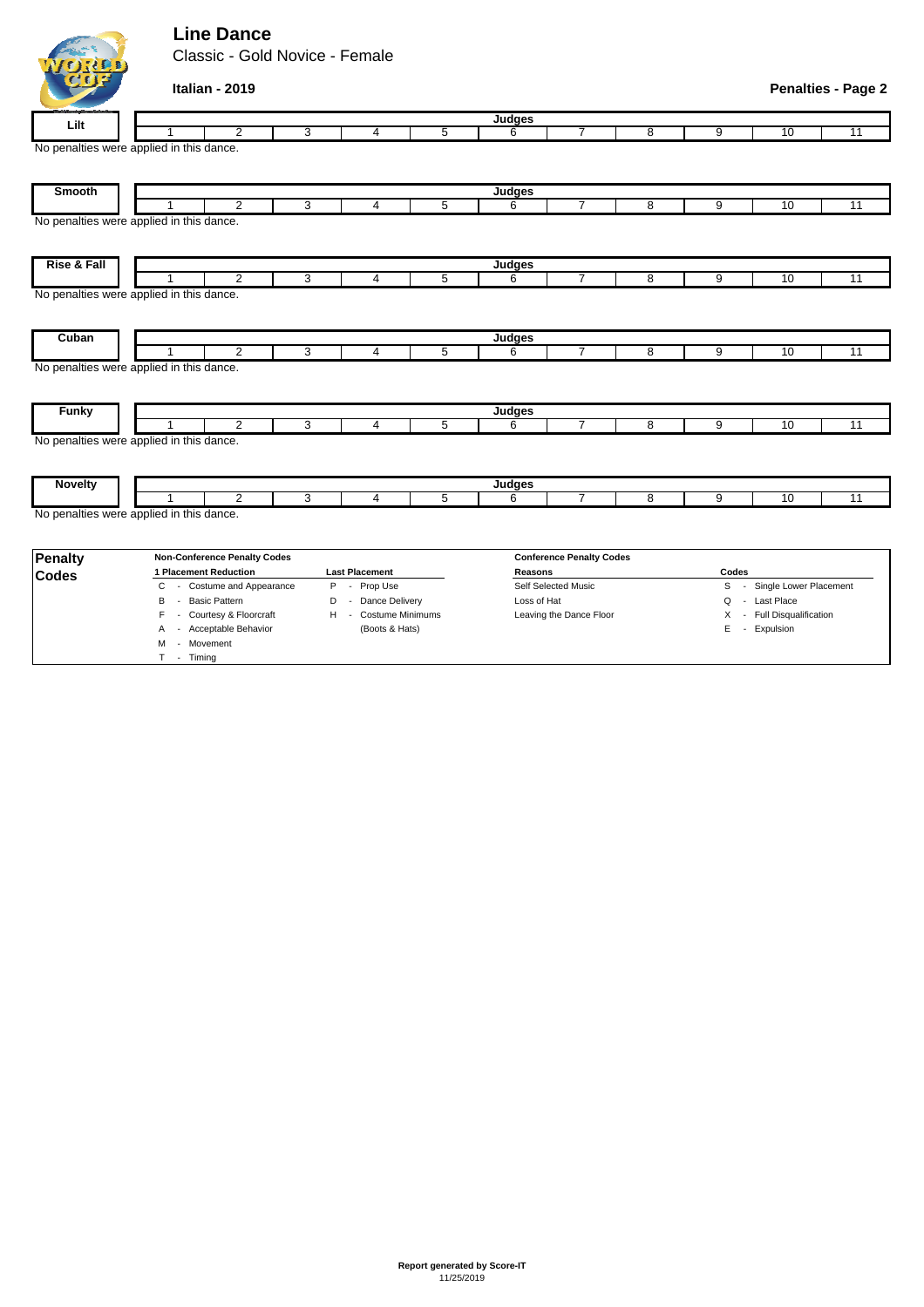## **Line Dance**

WORD

M - Movement T - Timing

Classic - Gold Novice - Female

| C(D)                   | Italian - 2019                           |                       |                     |             |                         |                                 |                           |                |    | <b>Penalties - Page 2</b> |  |  |  |
|------------------------|------------------------------------------|-----------------------|---------------------|-------------|-------------------------|---------------------------------|---------------------------|----------------|----|---------------------------|--|--|--|
| Lilt                   | Judges                                   |                       |                     |             |                         |                                 |                           |                |    |                           |  |  |  |
|                        | $\overline{2}$                           | 3                     | 4                   | 5           | 6                       | 7                               | 8                         | $\overline{9}$ | 10 | 11                        |  |  |  |
|                        | No penalties were applied in this dance. |                       |                     |             |                         |                                 |                           |                |    |                           |  |  |  |
| Smooth                 | Judges                                   |                       |                     |             |                         |                                 |                           |                |    |                           |  |  |  |
|                        | $\overline{2}$                           | 3                     | 4                   | 5           | 6                       | 7                               | 8                         | 9              | 10 | 11                        |  |  |  |
|                        | No penalties were applied in this dance. |                       |                     |             |                         |                                 |                           |                |    |                           |  |  |  |
| <b>Rise &amp; Fall</b> |                                          |                       |                     |             | Judges                  |                                 |                           |                |    |                           |  |  |  |
|                        | $\overline{2}$                           | 3                     | 4                   | 5           | 6                       | $\overline{7}$                  | 8                         | 9              | 10 | 11                        |  |  |  |
|                        | No penalties were applied in this dance. |                       |                     |             |                         |                                 |                           |                |    |                           |  |  |  |
| Cuban                  | $\overline{2}$                           | 3                     | 4                   | 5           | Judges<br>6             | $\overline{7}$                  | 8                         | 9              | 10 | 11                        |  |  |  |
|                        | No penalties were applied in this dance. |                       |                     |             |                         |                                 |                           |                |    |                           |  |  |  |
| <b>Funky</b>           |                                          |                       |                     |             | Judges                  |                                 |                           |                |    |                           |  |  |  |
|                        | $\overline{2}$                           | 3                     | 4                   | 5           | 6                       | $\overline{7}$                  | 8                         | 9              | 10 | 11                        |  |  |  |
|                        | No penalties were applied in this dance. |                       |                     |             |                         |                                 |                           |                |    |                           |  |  |  |
| <b>Novelty</b>         |                                          |                       |                     |             | Judges                  |                                 |                           |                |    |                           |  |  |  |
|                        | $\overline{2}$                           | 3                     | 4                   | 5           | 6                       | $\overline{7}$                  | 8                         | 9              | 10 | 11                        |  |  |  |
|                        | No penalties were applied in this dance. |                       |                     |             |                         |                                 |                           |                |    |                           |  |  |  |
| Penalty                | <b>Non-Conference Penalty Codes</b>      |                       |                     |             |                         | <b>Conference Penalty Codes</b> |                           |                |    |                           |  |  |  |
| <b>Codes</b>           | 1 Placement Reduction                    | <b>Last Placement</b> |                     |             |                         |                                 |                           | Codes          |    |                           |  |  |  |
|                        | - Costume and Appearance<br>C            |                       | Self Selected Music |             |                         | S - Single Lower Placement      |                           |                |    |                           |  |  |  |
|                        | B<br><b>Basic Pattern</b><br>$\sim$      | - Dance Delivery<br>D |                     | Loss of Hat |                         |                                 | - Last Place<br>Q         |                |    |                           |  |  |  |
|                        | - Courtesy & Floorcraft<br>F.            | H - Costume Minimums  |                     |             | Leaving the Dance Floor |                                 | X - Full Disqualification |                |    |                           |  |  |  |

A - Acceptable Behavior (Boots & Hats) E - Expulsion